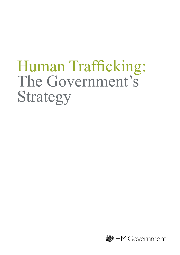# Human Trafficking: The Government's Strategy

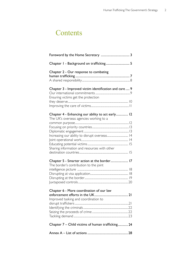### **Contents**

| Chapter I - Background on trafficking 5                                                                                                                                                       |  |
|-----------------------------------------------------------------------------------------------------------------------------------------------------------------------------------------------|--|
| Chapter 2 - Our response to combating                                                                                                                                                         |  |
| Chapter 3 - Improved victim identification and care  9<br>Ensuring victims get the protection                                                                                                 |  |
| Chapter 4 - Enhancing our ability to act early 12<br>The UK's overseas agencies working to a<br>Increasing our ability to disrupt overseas 14<br>Sharing information and resources with other |  |
| Chapter 5 - Smarter action at the border 17<br>The border's contribution to the joint                                                                                                         |  |
| Chapter 6 - More coordination of our law<br>Improved tasking and coordination to                                                                                                              |  |
| Chapter 7 - Child victims of human trafficking 24                                                                                                                                             |  |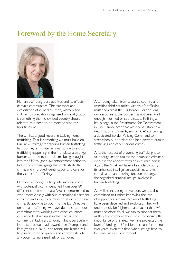### Foreword by the Home Secretary



Human trafficking destroys lives and its effects damage communities. The transport and exploitation of vulnerable men, women and children by predatory organised criminal groups is something that no civilised country should tolerate. We need to do more to stop this horrific crime.

The UK has a good record in tackling human trafficking. That is something we must build on. Our new strategy for tackling human trafficking has four key aims: international action to stop trafficking happening in the first place; a stronger border at home to stop victims being brought into the UK; tougher law enforcement action to tackle the criminal gangs that orchestrate the crime; and improved identification and care for the victims of trafficking.

Human trafficking is a truly international crime, with potential victims identified from over 80 different countries to date. We are determined to work more closely with our international partners in transit and source countries to stop this terrible crime. By applying to opt in to the EU Directive on human trafficking, we have demonstrated our commitment to working with other countries in Europe to drive up standards across the continent in tackling trafficking. This is particularly important as we head towards the Olympics and Paralympics in 2012. Monitoring intelligence will help us to respond quickly and appropriately to any potential increased risk of trafficking.

After being taken from a source country and transiting third countries, victims of trafficking must then cross the UK border. For too long our response at the border has not been well enough informed or coordinated. Fulfilling a key pledge in the Programme for Government, in June I announced that we would establish a new National Crime Agency (NCA) containing a dedicated Border Policing Command to strengthen our borders and help prevent human trafficking and other serious crimes.

A further aspect of preventing trafficking is to take tough action against the organised criminals who run the abhorrent trade in human beings. Again, the NCA will have a key role by using its enhanced intelligence capabilities and its coordination and tasking functions to target the organised criminal groups involved in human trafficking.

As well as increasing prevention, we are also committed to further improving the level of support for victims. Victims of trafficking have been deceived and exploited. They will undoubtedly be frightened and vulnerable. We must therefore do all we can to support them as they try to rebuild their lives. Recognising the importance of this area, we have protected the level of funding at £2 million per year for the next two years, even at a time when savings have to be made across Government.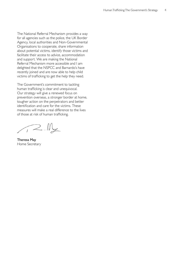The National Referral Mechanism provides a way for all agencies such as the police, the UK Border Agency, local authorities and Non-Governmental Organisations to cooperate, share information about potential victims, identify those victims and facilitate their access to advice, accommodation and support. We are making the National Referral Mechanism more accessible and I am delighted that the NSPCC and Barnardo's have recently joined and are now able to help child victims of trafficking to get the help they need.

The Government's commitment to tackling human trafficking is clear and unequivocal. Our strategy will give a renewed focus on prevention overseas, a stronger border at home, tougher action on the perpetrators and better identification and care for the victims. These measures will make a real difference to the lives of those at risk of human trafficking.

 $72.11$ 

Theresa May Home Secretary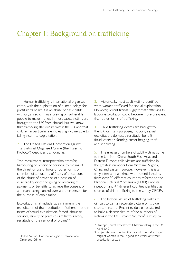### Chapter 1: Background on trafficking

1. Human trafficking is international organised crime, with the exploitation of human beings for profit at its heart. It is an abuse of basic rights, with organised criminals preying on vulnerable people to make money. In most cases, victims are brought to the UK from abroad, but we know that trafficking also occurs within the UK and that children in particular are increasingly vulnerable to falling victim to exploitation.

2. The United Nations Convention against Transnational Organised Crime (the 'Palermo Protocol') describes trafficking as:

"the recruitment, transportation, transfer, harbouring or receipt of persons, by means of the threat or use of force or other forms of coercion, of abduction, of fraud, of deception, of the abuse of power or of a position of vulnerability or of the giving or receiving of payments or benefits to achieve the consent of a person having control over another person, for the purpose of exploitation.

Exploitation shall include, at a minimum, the exploitation of the prostitution of others or other forms of sexual exploitation, forced labour or services, slavery or practices similar to slavery, servitude or the removal of organs<sup>1</sup>."

3. Historically, most adult victims identified were women trafficked for sexual exploitation. However, recent trends suggest that trafficking for labour exploitation could become more prevalent than other forms of trafficking.

4. Child trafficking victims are brought to the UK for many purposes, including sexual exploitation, domestic servitude, benefit fraud, cannabis farming, street begging, theft and shoplifting.

5. The greatest numbers of adult victims come to the UK from China, South East Asia, and Eastern Europe; child victims are trafficked in the greatest numbers from Vietnam, Nigeria, China and Eastern Europe. However, this is a truly international crime, with potential victims from over 80 different countries referred to the National Referral Mechanism (NRM) since its inception and 47 different counties identified as sources of child trafficking to the UK by CEOP<sup>2</sup>.

6. The hidden nature of trafficking makes it difficult to gain an accurate picture of its true scale and nature. Recent evidence has started to build a clearer picture of the numbers of victims in the UK. Project Acumen<sup>3</sup>, a study by

<sup>2.</sup> Strategic Threat Assessment Child trafficking in the UK April 2010

<sup>3.</sup> Project Acumen: Setting the Record: The trafficking of migrant women in the England and Wales off-street prostitution sector.

<sup>1.</sup> United Nations Convention against Transnational Organised Crime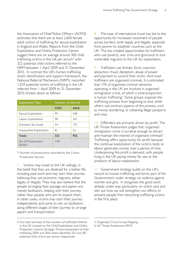the Association of Chief Police Officers (ACPO) estimates that there are at least 2,600 female adult victims of trafficking for sexual exploitation in England and Wales. Reports from the Child Exploitation and Online Protection Centre suggest there are on average around 300 child trafficking victims in the UK per annum<sup>4</sup> with 322 potential child victims referred to the NRM between 1 April 2009 and 31 December 2010. In contrast the UK's human trafficking victim identification and support framework, the National Referral Mechanism (NRM), recorded 1,254 potential victims of trafficking in the UK referred from 1 April 2009 to 31 December 2010, broken down as follows:

| <b>Exploitation Type</b>        | Number of referrals |              |
|---------------------------------|---------------------|--------------|
|                                 | Child               | <b>Adult</b> |
| Sexual Exploitation             | 99                  | 438          |
| Labour Exploitation             | 98                  | 267          |
| Domestic Servitude              | 44                  | 175          |
| Unspecified Exploitation        | 81                  | 52           |
| Totals                          | 322                 | 932          |
| No of Prosecutions -<br>2010/11 | $116*$              |              |

\* Number of prosecutions recorded by the Crown Prosecution Service

7. Victims may travel to the UK willingly, in the belief that they are destined for a better life, including paid work and may start their journey believing they are economic migrants, either legally or illegally. They may also believe that the people arranging their passage and papers are merely facilitators, helping with their journey, rather than people who aim to exploit them. In other cases, victims may start their journey independently and come to rely on facilitators along different stages of their journey to arrange papers and transportation.

8. The ease of international travel has led to the opportunity for increased movement of people across borders, both legally and illegally, especially from poorer to wealthier countries such as the UK. This has created opportunities for traffickers who use poverty, war, crisis and ignorance to lure vulnerable migrants to the UK for exploitation.

9. Traffickers use threats, force, coercion, abduction, fraud, deception, abuse of power and payment to control their victim. And most traffickers are organised criminals. It is estimated that 17% of organised criminal networks operating in the UK are involved in organised immigration crime, of which a small proportion is human trafficking<sup>5</sup>. Some groups organise the trafficking process from beginning to end, while others sub-contract aspects of the process, such as money laundering, or obtaining illegal passports and visas.

10. Offenders are primarily driven by profit. The UK Threat Assessment judges that 'organised immigration crime is lucrative enough to attract and maintain the interest of organised criminals<sup>16</sup>. Trafficking offers opportunity for profit because the continual exploitation of the victim's body or labour generates money over a period of time. Underpinning this profit is demand, with people living in the UK paying money for sex or the products of labour exploitation.

11. Government strategy builds on the UK's record on human trafficking and forms part of the Government's wider strategy on violence against women and girls. It recognises the good work already under way, particularly on victim care and sets out how we will strengthen our efforts to prevent people from becoming trafficking victims in the first place.

5. Organised Crime Group Mapping 6.UK Threat Assessment 09/10

<sup>4.</sup> Our best estimate of the numbers of trafficked children in the UK is based on the Child Exploitation and Online Protection Centre's Strategic Threat Assessment of child trafficking 2009 and 2010 which identified 325 and 287 potential child victims per annum respectively.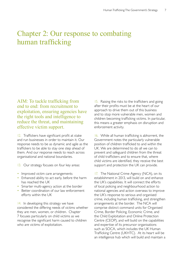### Chapter 2: Our response to combating human trafficking

AIM: To tackle trafficking from end to end: from recruitment to exploitation, ensuring agencies have the right tools and intelligence to reduce the threat, and maintaining effective victim support.

12. Traffickers have significant profit at stake and run businesses in order to maintain it. Our response needs to be as dynamic and agile as the traffickers to be able to stay one step ahead of them. And our response needs to reach across organisational and national boundaries.

- 13. Our strategy focuses on four key areas:
- Improved victim care arrangements
- Enhanced ability to act early, before the harm has reached the UK
- Smarter multi-agency action at the border
- Better coordination of our law enforcement efforts within the UK

14. In developing this strategy we have considered the differing needs of victims whether they are men, women, or children. Chapter 7 focuses particularly on child victims as we recognise the significant harm caused to children who are victims of exploitation.

children becoming trafficking victims. In particular, this means a greater emphasis on disruption and enforcement activity. 15. Raising the risks to the traffickers and going after their profits must be at the heart of our approach to drive them out of this business and to stop more vulnerable men, women and

16. While all human trafficking is abhorrent, the Government notes the particularly vulnerable position of children trafficked to and within the UK. We are determined to do all we can to prevent and safeguard children from the threat of child traffickers and to ensure that, where child victims are identified, they receive the best support and protection the UK can provide.

17. The National Crime Agency (NCA), on its establishment in 2013, will build on and enhance the UK's capabilities. It will connect the efforts of local policing and neighbourhood action to national agencies and action overseas to improve the UK's response to serious and organised crime, including human trafficking, and strengthen arrangements at the border. The NCA will comprise distinct command units for Organised Crime, Border Policing, Economic Crime, and the Child Exploitation and Online Protection Centre (CEOP), and will build on the capabilities and expertise of its precursor organisations such as SOCA, which includes the UK Human Trafficking Centre (UKHTC). At its heart will be an intelligence hub which will build and maintain a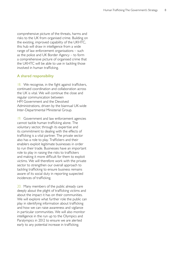comprehensive picture of the threats, harms and risks to the UK from organised crime. Building on the existing, improved capability of the UKHTC, this hub will draw in intelligence from a wide range of law enforcement organisations – such as the police and UK Border Agency – to form a comprehensive picture of organised crime that the UKHTC will be able to use in tackling those involved in human trafficking.

#### A shared responsibility

18. We recognise, in the fight against traffickers, continued coordination and collaboration across the UK is vital. We will continue the close and regular communication between HM Government and the Devolved Administrations, driven by the biannual UK-wide Inter-Departmental Ministerial Group.

19. Government and law enforcement agencies cannot tackle human trafficking alone. The voluntary sector, through its expertise and its commitment to dealing with the effects of trafficking is a vital partner. The private sector also has a role to play. Traffickers and their enablers exploit legitimate businesses in order to run their trade. Businesses have an important role to play in raising the risks to traffickers and making it more difficult for them to exploit victims. We will therefore work with the private sector to strengthen our overall approach to tackling trafficking to ensure business remains aware of its social duty in reporting suspected incidences of trafficking.

20. Many members of the public already care deeply about the plight of trafficking victims and about the impact it has on their communities. We will explore what further role the public can play in identifying information about trafficking and how we can raise awareness and vigilance in particular communities. We will also monitor intelligence in the run up to the Olympics and Paralympics in 2012 to ensure we are alerted early to any potential increase in trafficking.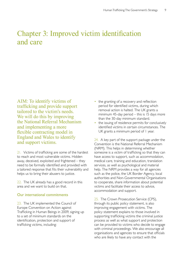### Chapter 3: Improved victim identification and care

AIM: To identify victims of • the granting of a recovery and reflection trafficking and provide support<br>tailored to the victim's needs removal action is halted. The UK grants a We will do this by improving<br>than the 30-day minimum standard. the National Referral Mechanism • the issuing of residence permits for conclusively flexible contracting model in England and Wales to identify

21. Victims of trafficking are some of the hardest someone is a victim of trafficking so that they can to reach and most vulnerable victims. Hidden have access to support, such as accommodation, away, deceived, exploited and frightened – they medical care, training and education, translation need to be formally identified and provided with services, as well as psychological and material a tailored response that fits their vulnerability and help. The NRM provides a way for all agencies helps us to bring their abusers to justice. such as the police, the UK Border Agency, local

area and we want to build on that. victims and facilitate their access to advice,

#### Our international commitments

 $23.$  The UK implemented the Council of  $t$  through its public policy statement, is also Europe Convention on Action against **improving engagement with victims.** The Trafficking in Human Beings in 2009, signing up policy statement explains to those involved in

- tailored to the victim's needs.<br>The UK grants are removal action is halted. The UK grants are removed action is halted. The UK grants are removed action is halted. The UK grants are removed at the UK grants are removed at
- and implementing a more<br>
flexible contracting model in<br>
UK grants a minimum period of I year.

England and Water of Renderly 24. A key part of the support package under the and support victims. Convention is the National Referral Mechanism (NRM). This helps in determining whether authorities and Non-Governmental Organisations  $22.$  The UK already has a good record in this to cooperate, share information about potential accommodation and support.

25. The Crown Prosecution Service (CPS), to a set of minimum standards on the supporting trafficking victims the criminal justice identification, protection and support of process as well as what support and protection trafficking victims, including: can be provided to victims who decide to engage with criminal proceedings. We also encourage all organisations and agencies to ensure that officials who are likely to have any contact with the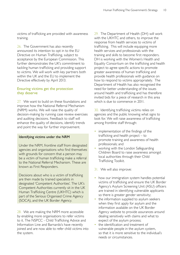victims of trafficking are provided with awareness training.

26. The Government has also recently announced its intention to opt in to the EU Directive on Human Trafficking, subject to acceptance by the European Commission. This further demonstrates the UK's commitment to tackling human trafficking and providing support to victims. We will work with key partners both within the UK and the EU to implement the Directive effectively by April 2013.

#### Ensuring victims get the protection they deserve

27. We want to build on these foundations and improve how the National Referral Mechanism (NRM) works. We will raise the quality of decision-making by running case review exercises and auditing decisions. Feedback to staff will enhance the quality of decisions, identify trends and point the way for further improvement.

#### Identifying victims under the NRM

Under the NRM, frontline staff from designated agencies and organisations who find themselves with grounds for concern that a person may be a victim of human trafficking make a referral to the National Referral Mechanism. These are known as First Responders.

Decisions about who is a victim of trafficking are then made by trained specialists in designated 'Competent Authorities'. The UK's Competent Authorities currently sit in the UK Human Trafficking Centre (UKHTC) which is part of the Serious Organised Crime Agency (SOCA), and the UK Border Agency.

28. We are making the NRM more accessible by enabling more organisations to refer victims to it. The NSPCC - Child Trafficking Advice and Information Line and Barnardo's have recently joined and are now able to refer child victims into the system.

29. The Department of Health (DH) will work with the UKHTC and others, to improve the response from health services to victims of trafficking. This will include equipping more health services and professionals with the training and skills to become first responders. DH is working with the Women's Health and Equality Consortium on the trafficking and health project to agree specific actions to promote greater awareness of human trafficking and provide health professionals with guidance on how to respond to victims appropriately. The Department of Health has also recognised the need for better understanding of the issues around health and trafficking and has therefore invited bids for a piece of research in this area which is due to commence in 2011.

30. Identifying trafficking victims relies on agencies and the public knowing what signs to look for. We will raise awareness of trafficking among frontline staff through:

- implementation of the findings of the trafficking and health project – to promote training and awareness of health professionals; and
- working with the London Safeguarding Children Board to raise awareness amongst local authorities through their Child Trafficking Toolkit.
- 31. We will also improve:
- how our immigration system handles potential victims of trafficking and ensure the UK Border Agency's Asylum Screening Unit (ASU) officers are trained in identifying vulnerable applicants so there is greater gender sensitivity;
- the information supplied to asylum seekers when they first apply for asylum and the information available on the UK Border Agency website to provide assurances around dealing sensitively with claims and what to expect of the asylum process;
- the identification and treatment of vulnerable people in the asylum system, so that it is more sensitive to the individual's needs or circumstances.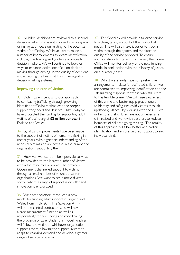32. All NRM decisions are reviewed by a second decision-maker who is not involved in any asylum or immigration decision relating to the potential victim of trafficking. We have already made a number of improvements to victim identification, including the training and guidance available to decision-makers. We will continue to look for ways to enhance victim identification decisionmaking through driving up the quality of decisions and exploring the best match with immigration decision-making systems.

#### Improving the care of victims

33. Victim care is central to our approach to combating trafficking through providing identified trafficking victims with the proper support they need and deserve. That is why we have protected the funding for supporting adult victims of trafficking at £2 million per year in England and Wales.

34. Significant improvements have been made to the support of victims of human trafficking in recent years, with a greater understanding of the needs of victims and an increase in the number of organisations supporting them.

35. However, we want the best possible services to be provided to the largest number of victims within the resources available. The previous Government channelled support to victims through a small number of voluntary-sector organisations. We want to see a more diverse sector, where a range of support is on offer and innovation is encouraged.

36. We have therefore introduced a new model for funding adult support in England and Wales from 1 July 2011. The Salvation Army will be the central contractor who will have a case-management function as well as responsibility for overseeing and coordinating the provision of care. Under this model, funding will follow the victim to whichever organisation supports them, allowing the support system to adapt to changing demand and develop a greater range of service provision.

37. This flexibility will provide a tailored service to victims, taking account of their individual needs. This will also make it easier to track a victim through the system and monitor the quality of the service provided. To ensure appropriate victim care is maintained, the Home Office will monitor delivery of the new funding model in conjunction with the Ministry of Justice on a quarterly basis.

38. Whilst we already have comprehensive arrangements in place for trafficked children we are committed to improving identification and the safeguarding response for those who fall victim to this terrible crime. We will raise awareness of this crime and better equip practitioners to identify and safeguard child victims through updated guidance. By working with the CPS we will ensure that children are not unnecessarily criminalised and work with partners to reduce instances of children going missing. The totality of this approach will allow better and earlier identification and ensure tailored support to each individual child.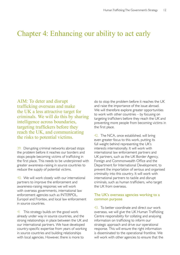### Chapter 4: Enhancing our ability to act early

AIM: To deter and disrupt do to stop the problem before it reaches the UK trafficking overseas and make and raise the importance of the issue abroad. the UK a less attractive target for<br>to work will therefore explore greater opportunities<br>to work with other countries – by focusing on targeting traffickers before they the first place. reach the UK, and communicating the risks to potential victims. <sup>42.</sup> The NCA, once established, will bring

 $39.$  Disrupting criminal networks abroad stops interests internationally. It will work with the problem before it reaches our borders and international law enforcement partners and stops people becoming victims of trafficking in UK partners, such as the UK Border Agency, the first place. This needs to be underpinned with Foreign and Commonwealth Office and the greater awareness-raising in source countries to Department for International Development, to reduce the supply of potential victims. prevent the importation of serious and organised

40. We will work closely with our international international partners to tackle and disrupt partners to improve the enforcement and criminals, such as human traffickers, who target awareness-raising response; we will work the UK from overseas. with overseas governments, international law enforcement agencies such as INTERPOL, The UK's overseas agencies working to a Europol and Frontex, and local law enforcement common purpose in source countries.

41 This strategy builds on the good work overseas, we will give the UK Human Trafficking already under way in source countries, and the Centre responsibility for collating and analysing strong relationships in place between the UK and information on trafficking to inform our our international partners. We have developed strategic approach and drive our operational country-specific expertise from years of working response. This will ensure the right information in source countries and building relationships is disseminated to the operational frontline. We with local agencies. However, there is more to will work with other agencies to ensure that the

criminals. We will do this by sharing to work with other countries – by focusing on intelligence across boundaries, preventing more people from becoming victims in

> even greater focus to this work, putting its full weight behind representing the UK's criminality into this country. It will work with

43. To better coordinate and direct our work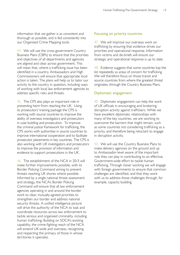information that we gather is as consistent and thorough as possible, and is fed consistently into our Organised Crime Mapping tools.

44. We will use the cross-government Country Business Plans (CBPs) to ensure that the priorities and objectives of all departments and agencies are aligned and clear across government. This will mean that, where a trafficking issue has been identified in a country, Ambassadors and High Commissioners will ensure that appropriate local action is taken. The plans will help us to tailor our activity to the country in question, including ways of working with local law enforcement agencies to address specific risks and threats.

45. The CPS also plays an important role in preventing harm from reaching the UK. Using its prosecutors' training package the CPS is working with source countries to improve the ability of overseas investigators and prosecutors in case building and prosecution. To improve the criminal justice framework for trafficking, the CPS works with authorities in source countries to improve international cooperation and to facilitate prosecutor placements in key countries. The CPS is also working with UK investigators and prosecutors to improve the provision of information and evidence to support prosecutions in the UK.

46. The establishment of the NCA in 2013 will make further improvements possible, with its Border Policing Command aiming to prevent threats reaching UK shores where possible. Informed by a single national threat assessment and strategy, the NCA's Border Policing Command will ensure that all law enforcement agencies operating in and around the border work to clear, mutually-agreed priorities to strengthen our border and address national security threats. A unified intelligence picture will drive the authority of the NCA to task and coordinate resources across law enforcement to tackle serious and organised criminality, including human trafficking. Building on SOCA's existing capability, the crime-fighting reach of the NCA will extend UK-wide and overseas, recognising and respecting the primacy of those in whose territories it operates.

#### Focusing on priority countries

47. We will improve our overseas work on trafficking by ensuring that evidence drives our priorities and operational response. Information from victims and de-briefs will ensure our strategic and operational response is up to date.

48. Evidence suggests that some countries top the list repeatedly as areas of concern for trafficking. We will therefore focus on those transit and source countries from where the greatest threat originates, through the Country Business Plans.

#### Diplomatic engagement

49. Diplomatic engagement can help the work of UK officials in encouraging and brokering disruption activity against traffickers. While we have excellent diplomatic relationships with many of the key countries, we are working to overcome the barriers that might remain, such as some countries not considering trafficking as a priority, and therefore being reluctant to engage in disruption activity.

50. We will use the Country Business Plans to make delivery agencies on the ground and up to Ambassador-level aware of the important role they can play in contributing to an effective, Government-wide effort to tackle human trafficking. Through closer working we will engage with foreign governments to ensure that common challenges are identified, and that they work with us to address those challenges through, for example, capacity building.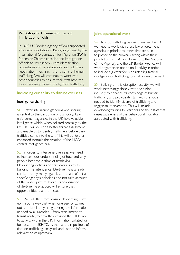#### Workshop for Chinese consular and immigration officials

In 2010 UK Border Agency officials supported a two-day workshop in Beijing organised by the International Organization for Migration (IOM) for senior Chinese consular and immigration officials to strengthen victim identification procedures and introduce safe and voluntary repatriation mechanisms for victims of human trafficking. We will continue to work with other countries to ensure their staff have the tools necessary to lead the fight on trafficking.

#### Increasing our ability to disrupt overseas

#### Intelligence sharing

51. Better intelligence gathering and sharing is central to the disruption of trafficking. Law enforcement agencies in the UK hold valuable intelligence which, when collated centrally by the UKHTC, will deliver a better threat assessment, and enable us to identify traffickers before they traffick victims into the UK. This will be further enhanced through the creation of the NCA's central intelligence hub.

52. In order to intervene overseas, we need to increase our understanding of how and why people become victims of trafficking. De-briefing victims and traffickers is key to building this intelligence. De-briefing is already carried out by many agencies, but can reflect a specific agency's priorities and not take account of the wider picture. More standardisation of de-briefing practices will ensure that opportunities are not missed.

53. We will, therefore, ensure de-briefing is set up in such a way that when one agency carries out a de-brief, they are gathering the information needed by all agencies – from recruitment, to transit route, to how they crossed the UK border, to activity within the UK. Information collated will be passed to UKHTC, as the central repository of data on trafficking, analysed, and used to inform relevant posts upstream.

#### Joint operational work

54. To stop trafficking before it reaches the UK, we need to work with those law enforcement agencies in priority countries that are able to prosecute the criminals acting within their jurisdiction. SOCA (and, from 2013, the National Crime Agency), and the UK Border Agency will work together on operational activity in order to include a greater focus on referring tactical intelligence on trafficking to local law enforcement.

55. Building on this disruption activity, we will work increasingly closely with the airline industry to enhance its knowledge of human trafficking and provide its staff with the tools needed to identify victims of trafficking and trigger an intervention. This will include developing training for carriers and their staff that raises awareness of the behavioural indicators associated with trafficking.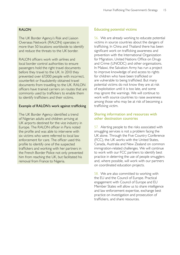#### RALON

The UK Border Agency's Risk and Liaison Overseas Network (RALON) operates in more than 50 locations worldwide to identify and reduce the threats to the UK border.

RALON officers work with airlines and local border control authorities to ensure passengers hold the right travel documents before they travel to the UK. In 2010 they prevented over 67,000 people with incorrect, counterfeit or fraudulently obtained travel documents from travelling to the UK. RALON officers have trained carriers on routes that are commonly used by traffickers to enable them to identify traffickers and their victims.

#### Example of RALON's work against trafficking

The UK Border Agency identified a trend of Nigerian adults and children arriving at UK airports destined for the vice industry in Europe. The RALON officer in Paris noted the profile and was able to intervene with six victims who were referred to local law enforcement for care. The officer used this profile to identify one of the suspected traffickers and working with her partners in the French Border Police not only prevented him from reaching the UK, but facilitated his removal from France to Nigeria.

#### Educating potential victims

56. We are already working to educate potential victims in source countries about the dangers of trafficking. In China and Thailand there has been significant work on trafficking awareness and prevention with the International Organization for Migration, United Nations Office on Drugs and Crime (UNODC) and other organisations. In Malawi, the Salvation Army has run a project to improve knowledge of and access to rights for children who have been trafficked or are vulnerable to being trafficked. But many potential victims do not know they are at risk of exploitation until it is too late, and some may ignore the warnings. We will continue to work with source countries to raise awareness among those who may be at risk of becoming a trafficking victim.

#### Sharing information and resources with other destination countries

57. Alerting people to the risks associated with smuggling services is not a problem facing the UK alone. Through the Five Country Conference (FCC), the UK works with the United States, Canada, Australia and New Zealand on common immigration-related challenges. We will continue to work with our FCC partners to identify best practice in deterring the use of people smugglers and, where possible, will work with our partners on coordinated education projects.

58. We are also committed to working with the EU and the Council of Europe. Practical engagement with Council of Europe and EU Member States will allow us to share intelligence and law enforcement expertise, exchange best practice on investigation and prosecution of traffickers, and share resources.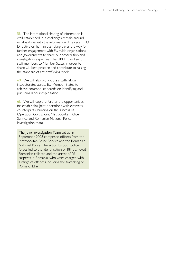59. The international sharing of information is well-established, but challenges remain around what is done with the information. The recent EU Directive on human trafficking paves the way for further engagement with EU-wide organisations and governments to share our prosecution and investigation expertise. The UKHTC will send staff members to Member States in order to share UK best practice and contribute to raising the standard of anti-trafficking work.

60. We will also work closely with labour inspectorates across EU Member States to achieve common standards on identifying and punishing labour exploitation.

61. We will explore further the opportunities for establishing joint operations with overseas counterparts, building on the success of Operation Golf, a joint Metropolitan Police Service and Romanian National Police investigation team.

The Joint Investigation Team set up in September 2008 comprised officers from the Metropolitan Police Service and the Romanian National Police. The action by both police forces led to the identification of 181 trafficked Romanian children and the arrest of 26 suspects in Romania, who were charged with a range of offences including the trafficking of Roma children.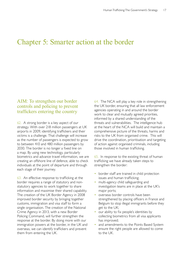### Chapter 5: Smarter action at the border

### AIM: To strengthen our border controls and policing to prevent traffickers entering the country

62. A strong border is a key aspect of our strategy. With over 218 million passengers at UK airports in 2009, identifying traffickers and their victims is a challenge. That challenge will increase as the number of passengers is expected to grow to between 410 and 480 million passengers by 2030. The border is no longer a fixed line on a map. By using new technology, particularly biometrics and advance travel information, we are creating an offshore line of defence, able to check individuals at the point of departure and through each stage of their journey.

63. An effective response to trafficking at the border requires a range of statutory and nonstatutory agencies to work together to share information and maximise their shared capability. The creation of the UK Border Agency in 2008 improved border security by bringing together customs, immigration and visa staff to form a single organisation. The creation of the National Crime Agency in 2013, with a new Border Policing Command, will further strengthen the response at the border. By doing more with our immigration powers at the border, in the UK and overseas, we can identify traffickers and prevent them from entering the UK.

64. The NCA will play a key role in strengthening the UK border, ensuring that all law enforcement agencies operating in and around the border work to clear and mutually agreed priorities, informed by a shared understanding of the threats and vulnerabilities. The intelligence hub at the heart of the NCA will build and maintain a comprehensive picture of the threats, harms and risks to the UK from organised crime. This will drive the coordination, prioritisation and targeting of action against organised criminals, including those involved in human trafficking.

65. In response to the existing threat of human trafficking we have already taken steps to strengthen the border:

- border staff are trained in child protection issues and human trafficking;
- multi-agency child safeguarding and investigation teams are in place at the UK's major ports;
- overseas border controls have been strengthened by placing officers in France and Belgium to stop illegal immigrants before they get to the UK;
- our ability to fix people's identities by collecting biometrics from all visa applicants has improved;
- and amendments to the Points Based System ensure the right people are allowed to come to the UK.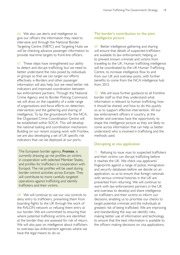66. We also use alerts and intelligence to give our officers the information they need to intervene and through the National Border Targeting Centre (NBTC) and Targeting Hubs we will be checking advance passenger information to provide real-time targets to front-line officers.

67. These steps have strengthened our ability to detect and disrupt trafficking, but we need to better understand the risks posed by individuals or groups so that we can target our efforts effectively. e-Borders and other passenger information will also help, but we need better risk indicators and improved coordination between law enforcement partners. Through the National Crime Agency and its Border Policing Command, we will draw on the capability of a wide range of organisations and focus efforts on detection, intervention and the gathering and sharing of intelligence. To lay the groundwork for the NCA, the Organised Crime Coordination Centre will be established within SOCA. This will develop the national tasking and coordination mechanism. Building on our recent scoping work with Frontex, we are also developing a set of UK specific risk indicators that can be deployed at our ports.

The European border agency, **Frontex**, is currently drawing up risk profiles on victims in cooperation with selected Member States, and profiles for traffickers in cooperation with Europol. The risk profiles will be used during border control activities across Europe. They will contribute to more carefully targeted operations against trafficking and identify traffickers and their victims.

68. We will continue to use our visa controls to deny entry to traffickers, preventing them from boarding flights to the UK through the work of the RALON network or refusing them entry at our border. We are committed to ensuring that where potential trafficking victims are identified at the border they are assessed for risk of return. We will also pass on intelligence about traffickers to overseas law enforcement agencies where we have the legal means to do so.

#### The border's contribution to the joint intelligence picture

69. Better intelligence gathering and sharing will ensure that details of suspected traffickers are available to law enforcement, helping us to prevent known criminals and victims from travelling to the UK. Human trafficking intelligence will be coordinated by the UK Human Trafficking Centre, to increase intelligence flow to and from our UK and overseas posts, with further benefits to come from the NCA intelligence hub from 2013.

70. We will issue further guidance to all frontline border staff so that they understand what information is relevant to human trafficking, how it should be shared, and how to do this quickly so as to support effective intervention. All our law enforcement officers in country, at the border and overseas have the opportunity to shape the intelligence picture as they are likely to come across information that can help us better understand who is involved in trafficking and the methods used.

#### Disrupting at visa application

71. Refusing to issue visas to suspected traffickers and their victims can disrupt trafficking before it reaches the UK. We check visa applicants' fingerprints against a range of police, immigration and security databases before we decide on an application, so as to ensure that foreign nationals with serious criminal histories in the UK are prevented from returning. We will continue to work with law enforcement partners in the UK and overseas to develop and share intelligence on traffickers and their victims to inform our decisions, enabling us to prioritise our checks to target potential criminals and the individuals at greatest risk of being trafficked. We are improving and standardising the way we identify risks, making better use of information and technology to ensure that the best information is available to the officers making decisions on visa applications.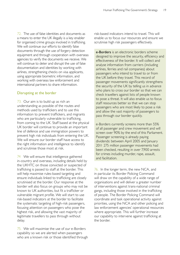72. The use of false identities and documents as a means to enter the UK illegally is a key enabler for organised crime groups involved in trafficking. We will continue our efforts to identify false documents through the use of forgery detection equipment and through cooperation with overseas agencies to verify the documents we receive. We will continue to deter and disrupt the use of false documentation and identities by working with airlines, strengthening checks on visa applicants, using appropriate biometric information, and working with overseas law enforcement and international partners to share information.

#### Disrupting at the border

73. Our aim is to build up as rich an understanding as possible of the routes and methods used by traffickers and to use this information to prevent traffickers, and migrants who are particularly vulnerable to trafficking, from coming to the UK. Staff based at the physical UK border will continue to provide an important line of defence and use immigration powers to prevent high risk individuals from entering the UK. We will ensure our border staff have access to the right information and intelligence to identify and scrutinise those most at risk.

74 We will ensure that intelligence gathered in-country and overseas, including details held by the UKHTC on those convicted or suspected of trafficking is passed to staff at the border. This will help maximise rules-based targeting and ensure individuals linked to trafficking are closely scrutinised at the border. Our response at the border will also focus on groups who may not be known to UK authorities, but fit a trafficker or vulnerable migrant profile. We will start to use risk-based indicators at the border to facilitate the systematic targeting of high-risk passengers, focusing attention on passengers who pose the highest risk, and allowing the vast majority of legitimate travellers to pass through without delay.

75. We will maximise the use of our e-Borders capability so we are alerted when passengers who are a known risk or those identified through risk-based indicators intend to travel. This will enable us to focus our resources and ensure we scrutinise high risk passengers effectively.

e-Borders is an electronic borders scheme designed to improve the security, efficiency and effectiveness of the border. It will collect and analyse information from carriers (including airlines, ferries and rail companies) about passengers who intend to travel to or from the UK before they travel. This record of passenger movements significantly strengthens the security of the UK by telling us in advance who plans to cross our border so that we can check travellers against lists of people known to pose a threat. It will also enable us to focus staff resources better so that we can stop passengers who are most likely to pose a risk and allow the vast majority of passengers to pass through our border quickly.

e-Borders currently screens more than 55% of all passenger and crew movement and will screen over 90% by the end of this Parliament. Passenger screening is already paying dividends: between April 2005 and January 2011 275 million passenger movements had been checked, resulting in over 7,900 arrests for crimes including murder, rape, assault, and facilitation.

76. In the longer term, the new NCA, and in particular its Border Policing Command will draw on the capability of a wide range of organisations and will deliver a greater number of interventions against trans-national criminal gangs, including those involved in the trafficking of people. The Border Policing Command will coordinate and task operational activity against priorities, using the NCA and other policing and law enforcement agencies' operational resources where appropriate. This will further increase our capability to intervene against trafficking at the border.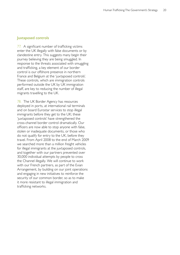#### Juxtaposed controls

77. A significant number of trafficking victims enter the UK illegally with false documents or by clandestine entry. This suggests many begin their journey believing they are being smuggled. In response to the threats associated with smuggling and trafficking, a key element of our border control is our offshore presence in northern France and Belgium at the 'juxtaposed controls'. These controls, which are immigration controls performed outside the UK by UK immigration staff, are key to reducing the number of illegal migrants travelling to the UK.

78. The UK Border Agency has resources deployed in ports, at international rail terminals and on board Eurostar services to stop illegal immigrants before they get to the UK; these 'juxtaposed controls' have strengthened the cross-channel border control dramatically. Our officers are now able to stop anyone with false, stolen or inadequate documents, or those who do not qualify for entry to the UK, before they travel. From April 2008 to the end of March 2009 we searched more than a million freight vehicles for illegal immigrants at the juxtaposed controls, and together with our partners prevented over 30,000 individual attempts by people to cross the Channel illegally. We will continue to work with our French partners, as part of the Evian Arrangement, by building on our joint operations and engaging in new initiatives to reinforce the security of our common border, so as to make it more resistant to illegal immigration and trafficking networks.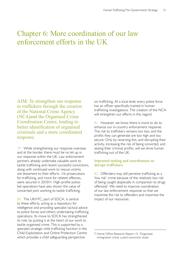### Chapter 6: More coordination of our law enforcement efforts in the UK

AIM: To strengthen our response to traffickers through the creation of the National Crime Agency (NCA)and the Organised Crime Coordination Centre, leading to better identification of organised criminals and a more coordinated response.

79. While strengthening our response overseas and at the border, there must be no let up in our response within the UK. Law enforcement partners already undertake valuable work to tackle trafficking and recent successful convictions, along with continued work to rescue victims, are testament to their efforts. 116 prosecutions for trafficking, and more for related offences, were secured in 2010/11. High-profile policeled operations have also shown the value of concerted joint working to tackle trafficking.

80. The UKHTC, part of SOCA, is central to these efforts, acting as a repository for intelligence and providing specialist tactical advice to police forces and others undertaking trafficking operations. Its move to SOCA has strengthened its role, by putting it at the heart of our work to tackle organised crime. This is supported by a specialist strategic child trafficking function in the Child Exploitation and Online Protection Centre which provides a child safeguarding perspective

on trafficking. At a local level, every police force has an officer specifically trained in human trafficking investigations. The creation of the NCA will strengthen our efforts in this regard.

81. However, we know there is more to do to enhance our in-country enforcement response. The risk to traffickers remains too low, and the profits they can generate are too high and too secure. Only by reversing this, and disrupting their activity, increasing the risk of being convicted, and seizing their criminal profits, will we drive human trafficking out of the UK.

#### Improved tasking and coordination to disrupt traffickers

82. Offenders may still perceive trafficking as a 'low risk' crime because of the relatively low risk of being caught (especially in comparison to drugs offences)<sup>7</sup>. We need to improve coordination of our law enforcement response so that we maximise the risk to offenders and maximise the impact of our resources.

<sup>7.</sup> Home Office Research Report 15: 'Organised immigration crime: a post-conviction study'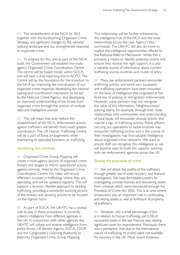83. The establishment of the NCA by 2013, together with the forthcoming Organised Crime Strategy, are significant changes to the national policing landscape and our strengthened response to organised crime.

84. To prepare for this, and as part of the NCA build, the Government will establish the multiagency Organised Crime Coordination Centre. The centre will be based initially within SOCA and will have a dual reporting line to ACPO. The Centre will lay the foundation for the transition to the NCA by: improving the coordination of our organised crime response; developing the national tasking and coordination mechanism to be led by the National Crime Agency; and developing an improved understanding of the threat from organised crime through the analysis of multiple data and intelligence sources.

85. This will mean that even before the establishment of the NCA, enforcement activity against traffickers will benefit from much greater coordination. The UK Human Trafficking Centre will be a part of these arrangements while maintaining its specialist functions on trafficking.

#### Identifying the criminals

86. Organised Crime Group Mapping will create a multi-agency picture of organised crime threats and targets to inform operational activity against criminals. Held by the Organised Crime Coordination Centre, this index will record offenders involved in trafficking, where they are operating, and will be updated regularly. This will support a dynamic, flexible approach to tackling trafficking, providing a constantly evolving picture of the threats, and allowing activity to be focused on the highest harm.

87. As part of SOCA, the UKHTC has a pivotal role to play in these procedures. It currently collects intelligence from different agencies in the UK. In conjunction with other agencies the UKHTC will collate and analyse intelligence from police forces, UK Border Agency, SOCA, CEOP, and the Gangmaster's Licensing Authority to feed into Organised Crime Group Mapping.

This relationship will be further enhanced by the intelligence hub of the NCA and the close relationships across the new Agency's four commands. The UKHTC will also do more to exploit the intelligence opportunities offered by the National Referral Mechanism. While this is primarily a means to identify potential victims and ensure they receive the right support, it is also a valuable source of information about current trafficking source countries and routes of entry.

88. Many law enforcement partners encounter trafficking activity, and some very successful anti-trafficking operations have been mounted on the basis of intelligence that originated at the front line of policing or immigration enforcement. However, some partners may not recognise the value of this information. Neighbourhood policing teams, for example, through their close relationships with communities and understanding of local issues will encounter unusual activity that may be a sign of trafficking activity. Police officers carrying out operations to tackle brothels may encounter trafficking victims and in the course of their investigations may find valuable intelligence about organised crime networks. We want to ensure staff can recognise this intelligence so we will explore ways to build this capacity, working with law enforcement agencies across the UK.

#### Seizing the proceeds of crime

89. We will attack the profits of the traffickers through greater use of asset recovery and financial investigation. We have formidable powers for investigating criminal finances and recovering assets from criminals which were introduced through the Proceeds of Crime Act 2002. This is an area where prosecutors play an important role in confiscating and seizing assets as well as forfeiture of property of traffickers.

90. However, only a small percentage of this is in relation to human trafficking, just 0.5% of recovered assets in the last financial year, leaving significant room for improvement. Previously, there was a perception that due to the international nature of trafficking, its profits were not available for recovery in the UK. More recent evidence,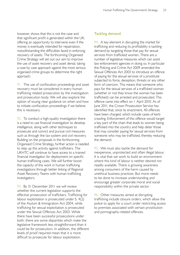however, shows that this is not the case and that significant profit is generated within the UK, offering an opportunity to intervene even if the money is eventually intended for repatriation, notwithstanding the difficulties faced in enforcing recovery of assets. The forthcoming Organised Crime Strategy will set out our aim to improve the use of asset recovery and asset denial, taking a case by case approach against the most serious organised crime groups to determine the right approach.

91. The use of confiscation proceedings and asset recovery must be considered in every human trafficking related prosecution by the investigation and prosecution body. We will also explore the option of issuing clear guidance on when and how to initiate confiscation proceedings if we believe this is necessary.

92. To conduct a high-quality investigation there is a need to use financial investigation to develop intelligence, along with other techniques to prosecute and convict and pursue civil measures such as through the tax system and civil recovery. Building on the proposals in the forthcoming Organised Crime Strategy, further action is needed to step up this activity against traffickers. The UKHTC will continue to have access to a trained financial investigator, for deployment on specific human trafficking cases. We will further boost the capacity of this work in human trafficking investigations through better linking of Regional Asset Recovery Teams with human trafficking investigators.

93. By 31 December 2011 we will review whether the current legislation supports the effective prosecution of traffickers. Trafficking for labour exploitation is prosecuted under S. 4(2) of the Asylum & Immigration Act 2004, while trafficking for sexual exploitation is prosecuted under the Sexual Offences Act 2003. While there have been successful prosecutions under both, there are some disparities which make the legislative framework less straightforward than it could be for prosecutors. In addition, the different levels of proof required mean that it is more difficult to prosecute for labour exploitation.

#### Tackling demand

94. A key element in disrupting the market for trafficking and reducing its profitability is tackling demand by targeting those that pay for sexual services from trafficked women. There are a number of legislative measures which can assist law enforcement agencies in doing so. In particular the Policing and Crime Act 2009 amended the Sexual Offences Act 2003 to introduce an offence of paying for the sexual services of a prostitute subjected to force, deception, threats or any other form of coercion. This means that someone who pays for the sexual services of a trafficked woman (whether or not they know the woman has been trafficked) can be arrested and prosecuted. This offence came into effect on 1 April 2010. As of June 2011, the Crown Prosecution Service has identified that, since its enactment, 40 offences have been charged, which include cases of kerb crawling. Enforcement of this offence would target a key part of the chain that leads to women being trafficked into the country and help deter those that may consider paying for sexual services from someone who may be trafficked, thereby reducing the demand.

95. We must also tackle the demand for inexpensive, unprotected and often illegal labour. It is vital that we work to build an environment where this kind of labour is neither desired nor readily available. There is growing awareness among consumers of the harm caused by unethical business practices. But more needs to be done to increase understanding and encourage greater corporate moral and social responsibility within the private sector.

96. Other measures aimed at disrupting trafficking include closure orders, which allow the police to apply for a court order restricting access to premises associated with certain prostitution and pornography-related offences.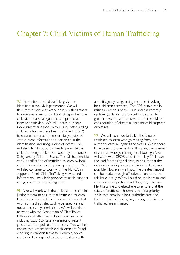### Chapter 7: Child Victims of Human Trafficking

97. Protection of child trafficking victims a multi-agency safeguarding response involving identified in the UK is paramount. We will local children's services. The CPS is involved in therefore continue to work closely with partners raising awareness of this issue and has recently to raise awareness of child trafficking and ensure updated guidance to prosecutors to provide child victims are safeguarded and protected greater direction and to lower the threshold for from re-trafficking. We will update our core consideration of discontinuance for child suspects Government guidance on this issue, 'Safeguarding or victims. children who may have been trafficked' (2007) to ensure that practitioners are fully equipped  $\frac{99}{99}$ . We will continue to tackle the issue of with current information to better aid in the trafficked children who go missing from local identification and safeguarding of victims. We authority care in England and Wales. While there will also identify opportunities to promote the have been improvements in this area, the number child trafficking toolkit, developed by the London of children who go missing is still too high. We Safeguarding Children Board. This will help enable will work with CEOP, who from 1 July 2011 have early identification of trafficked children by local the lead for missing children, to ensure that the authorities and support quicker protection. We national capability supports this in the best way will also continue to work with the NSPCC in possible. However, we know the greatest impact support of their Child Trafficking Advice and can be made through effective action to tackle Information Line which provides valuable support this issue locally. We will build on the learning and and guidance to frontline agencies. experiences of partners in Hillingdon, Harrow,

justice system to ensure that trafficked children while they remain in local authority care and found to be involved in criminal activity are dealt that the risks of them going missing or being rewith from a child safeguarding perspective and trafficked are minimised. not unnecessarily criminalised. We will continue to work with the Association of Chief Police Officers and other law enforcement partners including CEOP, to raise awareness of recent guidance to the police on this issue. This will help ensure that, where trafficked children are found working in cannabis farms for example, police are trained to respond to these situations with

Hertfordshire and elsewhere to ensure that the 98. We will work with the police and the criminal safety of trafficked children is the first priority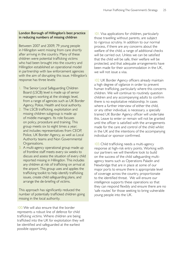#### London Borough of Hillingdon's best practice in reducing numbers of missing children

Between 2007 and 2009, 79 young people in Hillingdon went missing from care shortly after arriving in the country. Many of these children were potential trafficking victims who had been brought into the country and Hillingdon established an operational model in partnership with law enforcement agencies with the aim of disrupting this issue. Hillingdon's response has three levels:

- 1. The Senior Local Safeguarding Children Board (LSCB) level is made up of senior managers working at the strategic level, from a range of agencies such as UK Border Agency, Police, Health and local authority.
- 2. The LSCB trafficking, exploitation and missing children subgroup is made up of middle managers. Its role focuses on policy, procedure and training. This group meets six to eight times a year; and includes representatives from CEOP, Police, UK Border Agency, as well as Local Authority teams and Non Governmental Organisations.
- 3. A multi-agency operational group made up of frontline staff meets every six weeks to discuss and assess the situation of every child reported missing in Hillingdon. This includes any children at risk of trafficking on arrival at the airport. This group uses and applies the trafficking toolkit to help identify trafficking issues, create child safeguarding plans, and arrange the de-briefing of victims.

This approach has significantly reduced the number of potentially trafficked children going missing in the local authority.

100.We will also ensure that the border represents a robust line of defence for child trafficking victims. Where children are being trafficked into the UK for exploitation they will be identified and safeguarded at the earliest possible opportunity.

101. Visa applications for children, particularly those travelling without parents, are subject to rigorous scrutiny. In addition to our normal process, if there are any concerns about the welfare of the child, a range of additional checks will be carried out. Unless we can be satisfied that the child will be safe, their welfare will be protected, and that adequate arrangements have been made for their accommodation in the UK, we will not issue a visa.

102 UK Border Agency officers already maintain a high degree of vigilance in order to prevent human trafficking, particularly where this concerns children. We will continue to routinely question children and any accompanying adults to confirm there is no exploitative relationship. In cases where a further interview of either the child, or any other individual, is necessary, a specially trained UK Border Agency officer will undertake this. Leave to enter or remain will not be granted until the officer is satisfied with the arrangements made for the care and control of the child whilst in the UK and the intentions of the accompanying individual or sponsor confirmed.

103.Child trafficking needs a multi-agency response at high-risk entry points. Working with our partners we will therefore look to build on the success of the child safeguarding multiagency teams such as Operations Paladin and Newbridge that are in place at some of our major ports to ensure there is appropriate level of coverage across the country, proportionate to the identified threat. We will ensure our intelligence supports these operations so that they can respond flexibly and ensure there are no 'safe routes' for those seeking to bring vulnerable young people into the UK.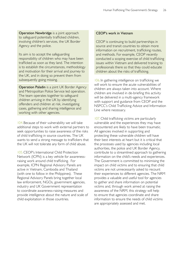**Operation Newbridge** is a joint approach to safeguard potentially trafficked children, involving children's services, the UK Border Agency and the police.

Its aim is to accept the safeguarding responsibility of children who may have been trafficked as soon as they land. The intention is to establish the circumstances, methodology and motivation for their arrival and journey to the UK, and in doing so prevent them from subsequently going missing.

**Operation Paladin** is a joint UK Border Agency and Metropolitan Police Service led operation. The team operates together to safeguard children arriving in the UK by identifying offenders and children at risk, investigating cases, gathering and sharing intelligence and working with other agencies.

104.Because of their vulnerability we will take additional steps to work with external partners to seek opportunities to raise awareness of the risks of child trafficking in source countries. The UK wants to send a strong message to traffickers that the UK will not tolerate any form of child abuse.

105.CEOP's International Child Protection Network (ICPN) is a key vehicle for awarenessraising work around child trafficking. For example, ICPN Regional Advisory Panels are active in Vietnam, Cambodia and Thailand (with one to follow in the Philippines). These Regional Advisory Panels bring together local law enforcement, NGOs, government agencies, industry and UK Government representation to coordinate awareness-raising measures and provide intelligence about the nature and scale of child exploitation in those countries.

#### CEOP's work in Vietnam

CEOP is continuing to build partnerships in source and transit countries to obtain more information on recruitment, trafficking routes, and methods. For example, CEOP recently conducted a scoping exercise of child trafficking issues within Vietnam and delivered training to professionals there so that they could educate children about the risks of trafficking.

106.In gathering intelligence on trafficking we will work to ensure the acute vulnerabilities of children are always taken into account. Where children are involved in de-briefing this activity will be delivered in a multi-agency framework with support and guidance from CEOP and the NSPCC's Child Trafficking Advice and Information Line where necessary.

107. Child trafficking victims are particularly vulnerable and the experiences they may have encountered are likely to have been traumatic. All agencies involved in supporting and protecting these vulnerable children will have their best interests at heart but it is critical that the processes used by agencies including local authorities, the police and UK Border Agency, contribute to a streamlined approach to gathering information on the child's needs and experiences. The Government is committed to minimising the impact on child victims and to ensuring that child victims are not unnecessarily asked to recount their experiences to different agencies. The NRM provides a valuable and useful tool for agencies to gather and share information on potential victims and, through work aimed at raising the awareness of the NRM, this strategy will help to ensure that agencies coordinate and share information to ensure the needs of child victims are appropriately assessed and met.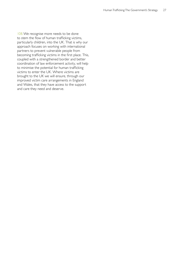108.We recognise more needs to be done to stem the flow of human trafficking victims, particularly children, into the UK. That is why our approach focuses on working with international partners to prevent vulnerable people from becoming trafficking victims in the first place. This, coupled with a strengthened border and better coordination of law enforcement activity, will help to minimise the potential for human trafficking victims to enter the UK. Where victims are brought to the UK we will ensure, through our improved victim care arrangements in England and Wales, that they have access to the support and care they need and deserve.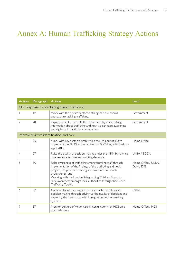## Annex A: Human Trafficking Strategy Actions

| <b>Action</b>                               | <b>Paragraph Action</b> |                                                                                                                                                                                                                                                                                                                                                                 | Lead                              |
|---------------------------------------------|-------------------------|-----------------------------------------------------------------------------------------------------------------------------------------------------------------------------------------------------------------------------------------------------------------------------------------------------------------------------------------------------------------|-----------------------------------|
| Our response to combating human trafficking |                         |                                                                                                                                                                                                                                                                                                                                                                 |                                   |
|                                             | 9                       | Work with the private sector to strengthen our overall<br>approach to tackling trafficking.                                                                                                                                                                                                                                                                     | Government                        |
| 2                                           | 20                      | Explore what further role the public can play in identifying<br>information about trafficking and how we can raise awareness<br>and vigilance in particular communities.                                                                                                                                                                                        | Government                        |
| Improved victim identification and care     |                         |                                                                                                                                                                                                                                                                                                                                                                 |                                   |
| 3                                           | 26                      | Work with key partners both within the UK and the EU to<br>implement the EU Directive on Human Trafficking effectively by<br>April 2013.                                                                                                                                                                                                                        | Home Office                       |
| $\overline{4}$                              | 27                      | Raise the quality of decision-making under the NRM by running<br>case review exercises and auditing decisions.                                                                                                                                                                                                                                                  | UKBA / SOCA                       |
| 5                                           | 30                      | Raise awareness of trafficking among frontline staff through:<br>Implementation of the findings of the trafficking and health<br>project - to promote training and awareness of health<br>professionals; and<br>Working with the London Safeguarding Children Board to<br>raise awareness amongst local authorities through their Child<br>Trafficking Toolkit. | Home Office / UKBA /<br>DoH / DfE |
| 6                                           | 32                      | Continue to look for ways to enhance victim identification<br>decision-making through driving up the quality of decisions and<br>exploring the best match with immigration decision-making<br>systems.                                                                                                                                                          | <b>UKBA</b>                       |
| 7                                           | 37                      | Monitor delivery of victim care in conjunction with MOJ on a<br>quarterly basis.                                                                                                                                                                                                                                                                                | Home Office / MOJ                 |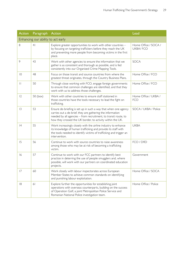| <b>Action</b>                      | Paragraph Action |                                                                                                                                                                                                                                                                | Lead                                    |
|------------------------------------|------------------|----------------------------------------------------------------------------------------------------------------------------------------------------------------------------------------------------------------------------------------------------------------|-----------------------------------------|
| Enhancing our ability to act early |                  |                                                                                                                                                                                                                                                                |                                         |
| 8                                  | 4 <sub>l</sub>   | Explore greater opportunities to work with other countries -<br>by focusing on targeting traffickers before they reach the UK<br>and preventing more people from becoming victims in the first<br>place.                                                       | Home Office / SOCA /<br><b>UKBA/FCO</b> |
| 9                                  | 43               | Work with other agencies to ensure the information that we<br>gather is as consistent and thorough as possible, and is fed<br>consistently into our Organised Crime Mapping Tools.                                                                             | <b>SOCA</b>                             |
| $ 0\rangle$                        | 48               | Focus on those transit and source countries from where the<br>greatest threat originates, through the Country Business Plans.                                                                                                                                  | Home Office / FCO                       |
| $\vert \vert$                      | 50               | Through close working with FCO, engage foreign governments<br>to ensure that common challenges are identified, and that they<br>work with us to address those challenges.                                                                                      | Home Office / FCO                       |
| 12                                 | 50 (box)         | Work with other countries to ensure staff stationed in<br>those countries have the tools necessary to lead the fight on<br>trafficking.                                                                                                                        | Home Office / UKBA /<br><b>FCO</b>      |
| 3                                  | 53               | Ensure de-briefing is set up in such a way that when one agency<br>carries out a de-brief, they are gathering the information<br>needed by all agencies - from recruitment, to transit route, to<br>how they crossed the UK border, to activity within the UK. | SOCA / UKBA / Police                    |
| 4                                  | 55               | Work increasingly closely with the airline industry to enhance<br>its knowledge of human trafficking and provide its staff with<br>the tools needed to identify victims of trafficking and trigger an<br>intervention.                                         | <b>UKBA</b>                             |
| 15                                 | 56               | Continue to work with source countries to raise awareness<br>among those who may be at risk of becoming a trafficking<br>victim.                                                                                                                               | FCO / DfID                              |
| 16                                 | 57               | Continue to work with our FCC partners to identify best<br>practice in deterring the use of people smugglers and, where<br>possible, will work with our partners on coordinated education<br>projects.                                                         | Government                              |
| 17                                 | 60               | Work closely with labour inspectorates across European<br>Member States to achieve common standards on identifying<br>and punishing labour exploitation.                                                                                                       | Home Office / SOCA                      |
| 8                                  | 61               | Explore further the opportunities for establishing joint<br>operations with overseas counterparts, building on the success<br>of Operation Golf, a joint Metropolitan Police Service and<br>Romanian National Police investigation team.                       | Home Office / Police                    |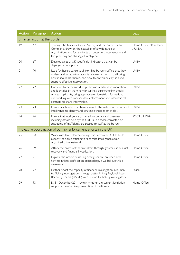| <b>Action</b>                | Paragraph      | Action                                                                                                                                                                                                                                                                                         | Lead                           |
|------------------------------|----------------|------------------------------------------------------------------------------------------------------------------------------------------------------------------------------------------------------------------------------------------------------------------------------------------------|--------------------------------|
| Smarter action at the Border |                |                                                                                                                                                                                                                                                                                                |                                |
| 9                            | 67             | Through the National Crime Agency and the Border Police<br>Command, draw on the capability of a wide range of<br>organisations and focus efforts on detection, intervention and<br>the gathering and sharing of Intelligence.                                                                  | Home Office NCA team<br>/ UKBA |
| 20                           | 67             | Develop a set of UK specific risk indicators that can be<br>deployed at our ports.                                                                                                                                                                                                             | <b>UKBA</b>                    |
| 21                           | 70             | Issue further guidance to all frontline border staff so that they<br>understand what information is relevant to human trafficking,<br>how it should be shared, and how to do this quickly so as to<br>support effective intervention.                                                          | <b>UKBA</b>                    |
| 22                           | 72             | Continue to deter and disrupt the use of false documentation<br>and identities by working with airlines, strengthening checks<br>on visa applicants, using appropriate biometric information,<br>and working with overseas law enforcement and international<br>partners to share information. | <b>UKBA</b>                    |
| 23                           | 73             | Ensure our border staff have access to the right information and<br>intelligence to identify and scrutinise those most at risk.                                                                                                                                                                | <b>UKBA</b>                    |
| 24                           | 74             | Ensure that Intelligence gathered in country and overseas,<br>including details held by the UKHTC on those convicted or<br>suspected of trafficking, are passed to staff at the border.                                                                                                        | SOCA / UKBA                    |
|                              |                | Increasing coordination of our law enforcement efforts in the UK                                                                                                                                                                                                                               |                                |
| 25                           | 88             | Work with law enforcement agencies across the UK to build<br>capacity of police officers to recognise intelligence about<br>organised crime networks.                                                                                                                                          | Home Office                    |
| 26                           | 89             | Attack the profits of the traffickers through greater use of asset<br>recovery and financial investigation.                                                                                                                                                                                    | Home Office                    |
| 27                           | 9 <sub>1</sub> | Explore the option of issuing clear guidance on when and<br>how to initiate confiscation proceedings, if we believe this is<br>necessary.                                                                                                                                                      | Home Office                    |
| 28                           | 92             | Further boost the capacity of financial investigation in human<br>trafficking investigations through better linking Regional Asset<br>Recovery Teams (RARTs) with human trafficking investigators.                                                                                             | Police                         |
| 29                           | 93             | By 31 December 2011 review whether the current legislation<br>supports the effective prosecution of traffickers.                                                                                                                                                                               | Home Office                    |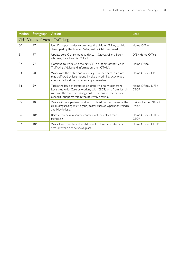| <b>Action</b>                      | Paragraph | Action                                                                                                                                                                                                                                               | Lead                                  |
|------------------------------------|-----------|------------------------------------------------------------------------------------------------------------------------------------------------------------------------------------------------------------------------------------------------------|---------------------------------------|
| Child Victims of Human Trafficking |           |                                                                                                                                                                                                                                                      |                                       |
| 30                                 | 97        | Identify opportunities to promote the child trafficking toolkit,<br>developed by the London Safeguarding Children Board.                                                                                                                             | Home Office                           |
| $\overline{3}$                     | 97        | Update core Government guidance - Safeguarding children<br>who may have been trafficked.                                                                                                                                                             | DfE / Home Office                     |
| 32                                 | 97        | Continue to work with the NSPCC in support of their Child<br>Trafficking Advice and Information Line (CTAIL).                                                                                                                                        | Home Office                           |
| 33                                 | 98        | Work with the police and criminal justice partners to ensure<br>that trafficked children found involved in criminal activity are<br>safeguarded and not unnecessarily criminalised.                                                                  | Home Office / CPS                     |
| 34                                 | 99        | Tackle the issue of trafficked children who go missing from<br>Local Authority Care by working with CEOP, who from 1st July<br>will have the lead for missing children, to ensure the national<br>capability supports this in the best way possible. | Home Office / DFE /<br><b>CEOP</b>    |
| 35                                 | 103       | Work with our partners and look to build on the success of the<br>child safeguarding multi-agency teams such as Operation Paladin<br>and Newbridge.                                                                                                  | Police / Home Office /<br><b>UKBA</b> |
| 36                                 | 104       | Raise awareness in source countries of the risk of child<br>trafficking.                                                                                                                                                                             | Home Office / DfID /<br><b>CEOP</b>   |
| 37                                 | 106       | Work to ensure the vulnerabilities of children are taken into<br>account when debriefs take place.                                                                                                                                                   | Home Office / CEOP                    |